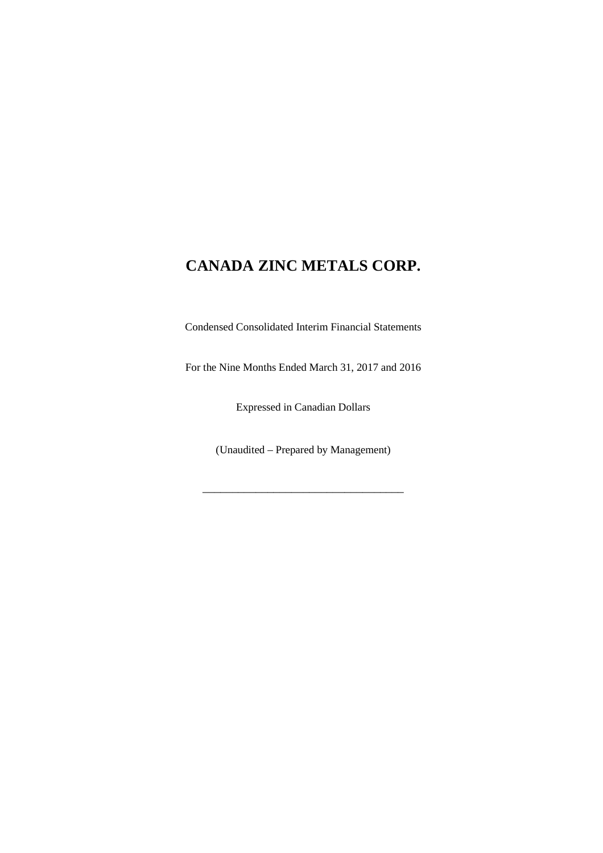Condensed Consolidated Interim Financial Statements

For the Nine Months Ended March 31, 2017 and 2016

Expressed in Canadian Dollars

(Unaudited – Prepared by Management)

\_\_\_\_\_\_\_\_\_\_\_\_\_\_\_\_\_\_\_\_\_\_\_\_\_\_\_\_\_\_\_\_\_\_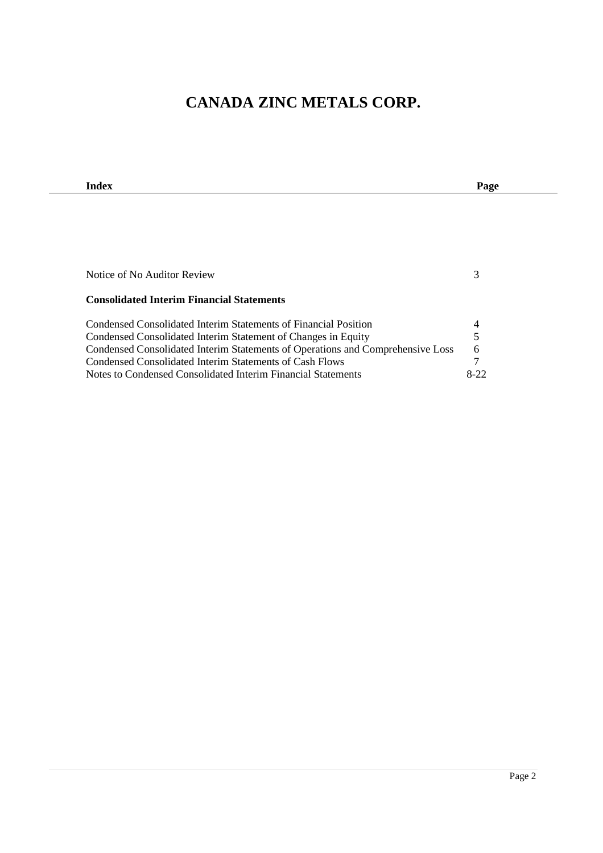| Index                                                                          | Page   |
|--------------------------------------------------------------------------------|--------|
|                                                                                |        |
|                                                                                |        |
|                                                                                |        |
|                                                                                |        |
|                                                                                |        |
| Notice of No Auditor Review                                                    | 3      |
| <b>Consolidated Interim Financial Statements</b>                               |        |
| Condensed Consolidated Interim Statements of Financial Position                | 4      |
| Condensed Consolidated Interim Statement of Changes in Equity                  |        |
| Condensed Consolidated Interim Statements of Operations and Comprehensive Loss | 6      |
| Condensed Consolidated Interim Statements of Cash Flows                        |        |
| Notes to Condensed Consolidated Interim Financial Statements                   | $8-22$ |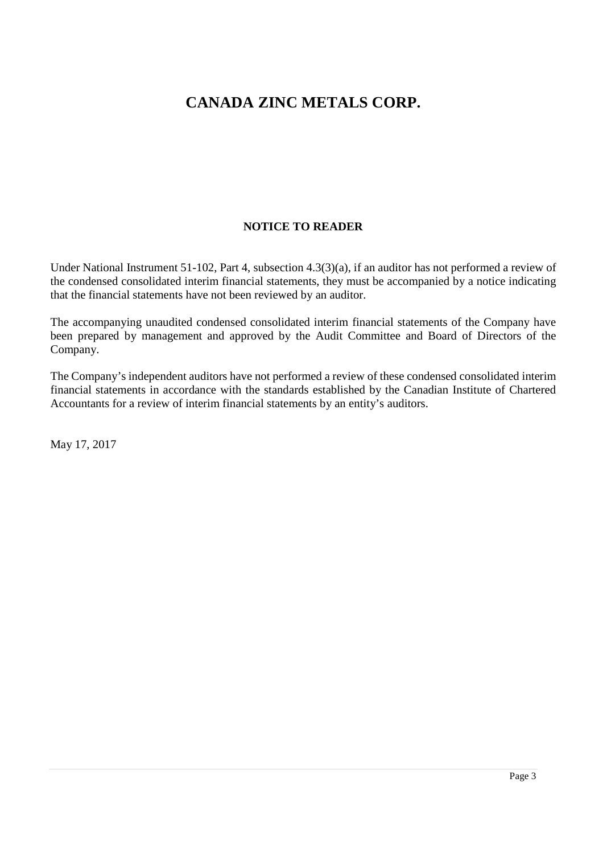### **NOTICE TO READER**

Under National Instrument 51-102, Part 4, subsection 4.3(3)(a), if an auditor has not performed a review of the condensed consolidated interim financial statements, they must be accompanied by a notice indicating that the financial statements have not been reviewed by an auditor.

The accompanying unaudited condensed consolidated interim financial statements of the Company have been prepared by management and approved by the Audit Committee and Board of Directors of the Company.

The Company's independent auditors have not performed a review of these condensed consolidated interim financial statements in accordance with the standards established by the Canadian Institute of Chartered Accountants for a review of interim financial statements by an entity's auditors.

May 17, 2017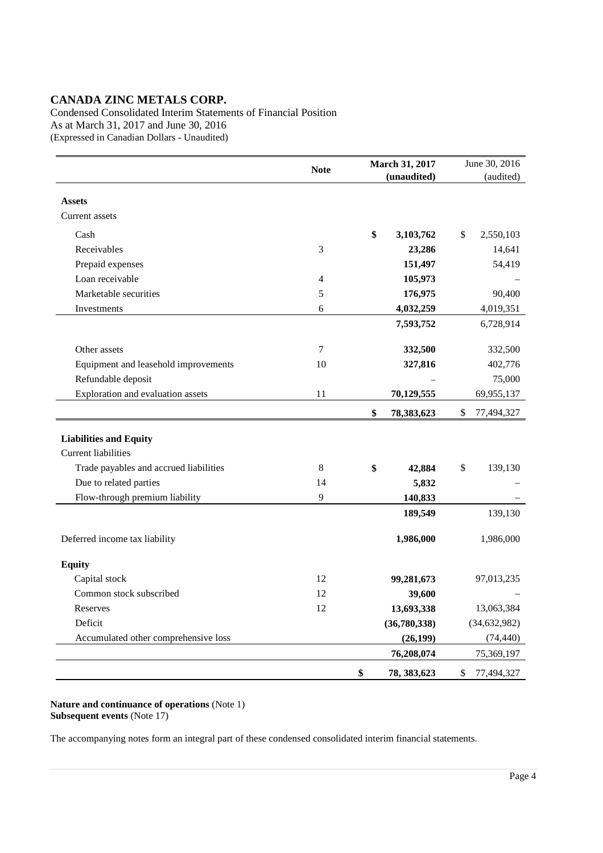Condensed Consolidated Interim Statements of Financial Position As at March 31, 2017 and June 30, 2016 (Expressed in Canadian Dollars - Unaudited)

|                                        |             | March 31, 2017 |              | June 30, 2016 |                |  |
|----------------------------------------|-------------|----------------|--------------|---------------|----------------|--|
|                                        | <b>Note</b> |                | (unaudited)  |               | (audited)      |  |
|                                        |             |                |              |               |                |  |
| <b>Assets</b>                          |             |                |              |               |                |  |
| Current assets                         |             |                |              |               |                |  |
| Cash                                   |             | \$             | 3,103,762    | \$            | 2,550,103      |  |
| Receivables                            | 3           |                | 23,286       |               | 14,641         |  |
| Prepaid expenses                       |             |                | 151,497      |               | 54,419         |  |
| Loan receivable                        | 4           |                | 105,973      |               |                |  |
| Marketable securities                  | 5           |                | 176,975      |               | 90,400         |  |
| Investments                            | 6           |                | 4,032,259    |               | 4,019,351      |  |
|                                        |             |                | 7,593,752    |               | 6,728,914      |  |
|                                        |             |                |              |               |                |  |
| Other assets                           | 7           |                | 332,500      |               | 332,500        |  |
| Equipment and leasehold improvements   | 10          |                | 327,816      |               | 402,776        |  |
| Refundable deposit                     |             |                |              |               | 75,000         |  |
| Exploration and evaluation assets      | 11          |                | 70,129,555   |               | 69,955,137     |  |
|                                        |             | \$             | 78,383,623   | \$            | 77,494,327     |  |
|                                        |             |                |              |               |                |  |
| <b>Liabilities and Equity</b>          |             |                |              |               |                |  |
| <b>Current liabilities</b>             |             |                |              |               |                |  |
| Trade payables and accrued liabilities | 8           | \$             | 42,884       | \$            | 139,130        |  |
| Due to related parties                 | 14          |                | 5,832        |               |                |  |
| Flow-through premium liability         | 9           |                | 140,833      |               |                |  |
|                                        |             |                | 189,549      |               | 139,130        |  |
|                                        |             |                |              |               |                |  |
| Deferred income tax liability          |             |                | 1,986,000    |               | 1,986,000      |  |
|                                        |             |                |              |               |                |  |
| <b>Equity</b>                          |             |                |              |               |                |  |
| Capital stock                          | 12          |                | 99,281,673   |               | 97,013,235     |  |
| Common stock subscribed                | 12          |                | 39,600       |               |                |  |
| Reserves                               | 12          |                | 13,693,338   |               | 13,063,384     |  |
| Deficit                                |             |                | (36,780,338) |               | (34, 632, 982) |  |
| Accumulated other comprehensive loss   |             |                | (26, 199)    |               | (74, 440)      |  |
|                                        |             |                | 76,208,074   |               | 75,369,197     |  |
|                                        |             | \$             | 78, 383, 623 | \$            | 77,494,327     |  |

**Nature and continuance of operations** (Note 1) **Subsequent events** (Note 17)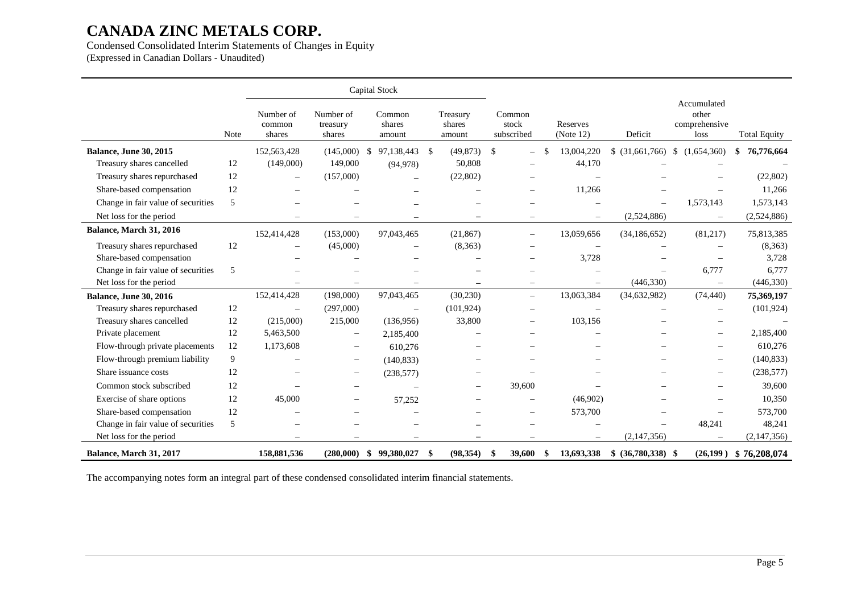### Condensed Consolidated Interim Statements of Changes in Equity

(Expressed in Canadian Dollars - Unaudited)

|                                    |      |                               |                                 | Capital Stock              |                              |                                |                          |                      |                                               |                     |
|------------------------------------|------|-------------------------------|---------------------------------|----------------------------|------------------------------|--------------------------------|--------------------------|----------------------|-----------------------------------------------|---------------------|
|                                    | Note | Number of<br>common<br>shares | Number of<br>treasury<br>shares | Common<br>shares<br>amount | Treasury<br>shares<br>amount | Common<br>stock<br>subscribed  | Reserves<br>(Note 12)    |                      | Accumulated<br>other<br>comprehensive<br>loss | <b>Total Equity</b> |
| <b>Balance, June 30, 2015</b>      |      | 152,563,428                   | (145,000)                       | 97,138,443 \$<br>\$        | (49, 873)                    | \$<br>$\overline{\phantom{0}}$ | 13,004,220<br>\$         | \$ (31,661,766)      | \$<br>(1,654,360)                             | 76,776,664<br>\$    |
| Treasury shares cancelled          | 12   | (149,000)                     | 149,000                         | (94, 978)                  | 50,808                       |                                | 44,170                   |                      |                                               |                     |
| Treasury shares repurchased        | 12   |                               | (157,000)                       |                            | (22, 802)                    |                                |                          |                      |                                               | (22,802)            |
| Share-based compensation           | 12   |                               |                                 |                            |                              | $\overline{\phantom{0}}$       | 11,266                   |                      |                                               | 11,266              |
| Change in fair value of securities | 5    |                               |                                 |                            |                              |                                |                          |                      | 1,573,143                                     | 1,573,143           |
| Net loss for the period            |      |                               |                                 |                            |                              | $\equiv$                       | $\overline{\phantom{0}}$ | (2,524,886)          | $\overline{\phantom{m}}$                      | (2,524,886)         |
| Balance, March 31, 2016            |      | 152,414,428                   | (153,000)                       | 97,043,465                 | (21, 867)                    | $\overline{\phantom{0}}$       | 13,059,656               | (34, 186, 652)       | (81,217)                                      | 75,813,385          |
| Treasury shares repurchased        | 12   |                               | (45,000)                        |                            | (8,363)                      |                                |                          |                      |                                               | (8,363)             |
| Share-based compensation           |      |                               |                                 |                            |                              |                                | 3,728                    |                      |                                               | 3,728               |
| Change in fair value of securities | 5    |                               |                                 |                            |                              |                                |                          |                      | 6,777                                         | 6,777               |
| Net loss for the period            |      |                               |                                 |                            |                              | $\equiv$                       |                          | (446, 330)           | $\overline{\phantom{m}}$                      | (446,330)           |
| <b>Balance, June 30, 2016</b>      |      | 152,414,428                   | (198,000)                       | 97,043,465                 | (30, 230)                    | $\overline{\phantom{0}}$       | 13,063,384               | (34, 632, 982)       | (74, 440)                                     | 75,369,197          |
| Treasury shares repurchased        | 12   | $\overline{\phantom{0}}$      | (297,000)                       | $\overline{\phantom{m}}$   | (101, 924)                   |                                |                          |                      | $\overline{\phantom{0}}$                      | (101, 924)          |
| Treasury shares cancelled          | 12   | (215,000)                     | 215,000                         | (136,956)                  | 33,800                       | $\qquad \qquad -$              | 103,156                  |                      |                                               |                     |
| Private placement                  | 12   | 5,463,500                     | $\overline{\phantom{0}}$        | 2,185,400                  |                              |                                |                          |                      |                                               | 2,185,400           |
| Flow-through private placements    | 12   | 1,173,608                     | $\overline{\phantom{0}}$        | 610,276                    |                              |                                |                          |                      | $\overline{\phantom{0}}$                      | 610,276             |
| Flow-through premium liability     | 9    |                               | $\qquad \qquad -$               | (140, 833)                 |                              |                                |                          |                      |                                               | (140, 833)          |
| Share issuance costs               | 12   |                               | $\overline{\phantom{0}}$        | (238, 577)                 |                              |                                |                          |                      |                                               | (238, 577)          |
| Common stock subscribed            | 12   |                               |                                 |                            | $\overline{\phantom{a}}$     | 39,600                         |                          |                      |                                               | 39,600              |
| Exercise of share options          | 12   | 45,000                        |                                 | 57,252                     |                              |                                | (46,902)                 |                      |                                               | 10,350              |
| Share-based compensation           | 12   |                               |                                 |                            |                              | $\overline{\phantom{0}}$       | 573,700                  |                      |                                               | 573,700             |
| Change in fair value of securities | 5    |                               |                                 |                            |                              |                                |                          |                      | 48,241                                        | 48,241              |
| Net loss for the period            |      |                               |                                 |                            |                              |                                | $\overline{\phantom{m}}$ | (2,147,356)          |                                               | (2,147,356)         |
| Balance, March 31, 2017            |      | 158,881,536                   | (280,000)                       | 99,380,027<br>\$           | (98, 354)<br>-\$             | 39,600<br>\$                   | \$<br>13,693,338         | $$ (36,780,338)$ \\$ | (26,199)                                      | \$76,208,074        |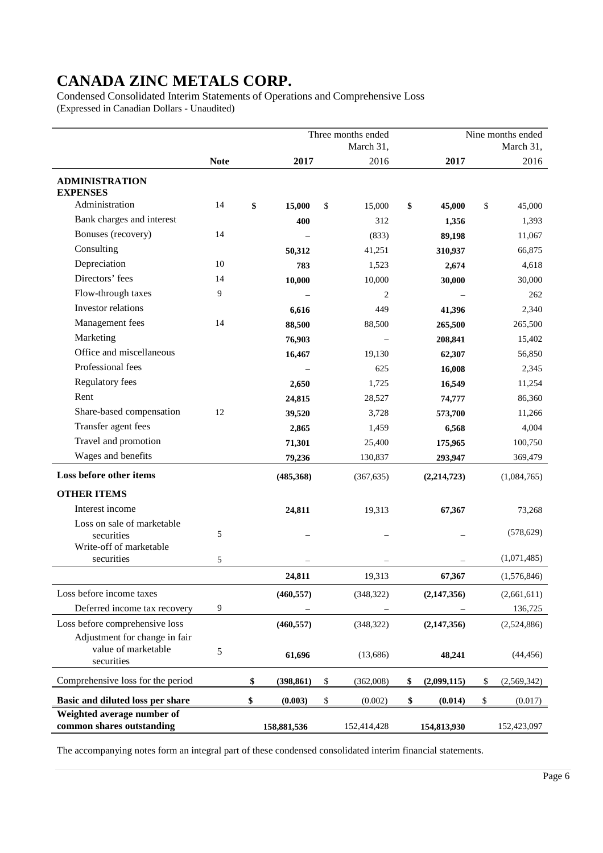Condensed Consolidated Interim Statements of Operations and Comprehensive Loss (Expressed in Canadian Dollars - Unaudited)

|                                                                    | Three months ended |           |             |              |             |           |               |    | Nine months ended |  |
|--------------------------------------------------------------------|--------------------|-----------|-------------|--------------|-------------|-----------|---------------|----|-------------------|--|
|                                                                    |                    | March 31, |             |              |             | March 31, |               |    |                   |  |
|                                                                    | <b>Note</b>        |           | 2017        |              | 2016        |           | 2017          |    | 2016              |  |
| <b>ADMINISTRATION</b><br><b>EXPENSES</b>                           |                    |           |             |              |             |           |               |    |                   |  |
| Administration                                                     | 14                 | \$        | 15,000      | \$           | 15,000      | \$        | 45,000        | \$ | 45,000            |  |
| Bank charges and interest                                          |                    |           | 400         |              | 312         |           | 1,356         |    | 1,393             |  |
| Bonuses (recovery)                                                 | 14                 |           |             |              | (833)       |           | 89,198        |    | 11,067            |  |
| Consulting                                                         |                    |           | 50,312      |              | 41,251      |           | 310,937       |    | 66,875            |  |
| Depreciation                                                       | 10                 |           | 783         |              | 1,523       |           | 2,674         |    | 4,618             |  |
| Directors' fees                                                    | 14                 |           | 10,000      |              | 10,000      |           | 30,000        |    | 30,000            |  |
| Flow-through taxes                                                 | 9                  |           |             |              | 2           |           |               |    | 262               |  |
| Investor relations                                                 |                    |           | 6,616       |              | 449         |           | 41,396        |    | 2,340             |  |
| Management fees                                                    | 14                 |           | 88,500      |              | 88,500      |           | 265,500       |    | 265,500           |  |
| Marketing                                                          |                    |           | 76,903      |              |             |           | 208,841       |    | 15,402            |  |
| Office and miscellaneous                                           |                    |           | 16,467      |              | 19,130      |           | 62,307        |    | 56,850            |  |
| Professional fees                                                  |                    |           |             |              | 625         |           | 16,008        |    | 2,345             |  |
| <b>Regulatory fees</b>                                             |                    |           | 2,650       |              | 1,725       |           | 16,549        |    | 11,254            |  |
| Rent                                                               |                    |           | 24,815      |              | 28,527      |           | 74,777        |    | 86,360            |  |
| Share-based compensation                                           | 12                 |           | 39,520      |              | 3,728       |           | 573,700       |    | 11,266            |  |
| Transfer agent fees                                                |                    |           | 2,865       |              | 1,459       |           | 6,568         |    | 4,004             |  |
| Travel and promotion                                               |                    |           | 71,301      |              | 25,400      |           | 175,965       |    | 100,750           |  |
| Wages and benefits                                                 |                    |           | 79,236      |              | 130,837     |           | 293,947       |    | 369,479           |  |
| Loss before other items                                            |                    |           | (485, 368)  |              | (367, 635)  |           | (2, 214, 723) |    | (1,084,765)       |  |
| <b>OTHER ITEMS</b>                                                 |                    |           |             |              |             |           |               |    |                   |  |
| Interest income                                                    |                    |           | 24,811      |              | 19,313      |           | 67,367        |    | 73,268            |  |
| Loss on sale of marketable<br>securities                           | 5                  |           |             |              |             |           |               |    | (578, 629)        |  |
| Write-off of marketable                                            |                    |           |             |              |             |           |               |    |                   |  |
| securities                                                         | 5                  |           |             |              |             |           |               |    | (1,071,485)       |  |
|                                                                    |                    |           | 24,811      |              | 19,313      |           | 67,367        |    | (1,576,846)       |  |
| Loss before income taxes                                           |                    |           | (460, 557)  |              | (348, 322)  |           | (2,147,356)   |    | (2,661,611)       |  |
| Deferred income tax recovery                                       | 9                  |           |             |              |             |           |               |    | 136,725           |  |
| Loss before comprehensive loss                                     |                    |           | (460, 557)  |              | (348, 322)  |           | (2, 147, 356) |    | (2,524,886)       |  |
| Adjustment for change in fair<br>value of marketable<br>securities | 5                  |           | 61,696      |              | (13,686)    |           | 48,241        |    | (44, 456)         |  |
| Comprehensive loss for the period                                  |                    | \$        | (398, 861)  | $\mathbb{S}$ | (362,008)   | \$        | (2,099,115)   | \$ | (2,569,342)       |  |
| Basic and diluted loss per share                                   |                    | \$        | (0.003)     | \$           | (0.002)     | \$        | (0.014)       | \$ | (0.017)           |  |
| Weighted average number of                                         |                    |           |             |              |             |           |               |    |                   |  |
| common shares outstanding                                          |                    |           | 158,881,536 |              | 152,414,428 |           | 154,813,930   |    | 152,423,097       |  |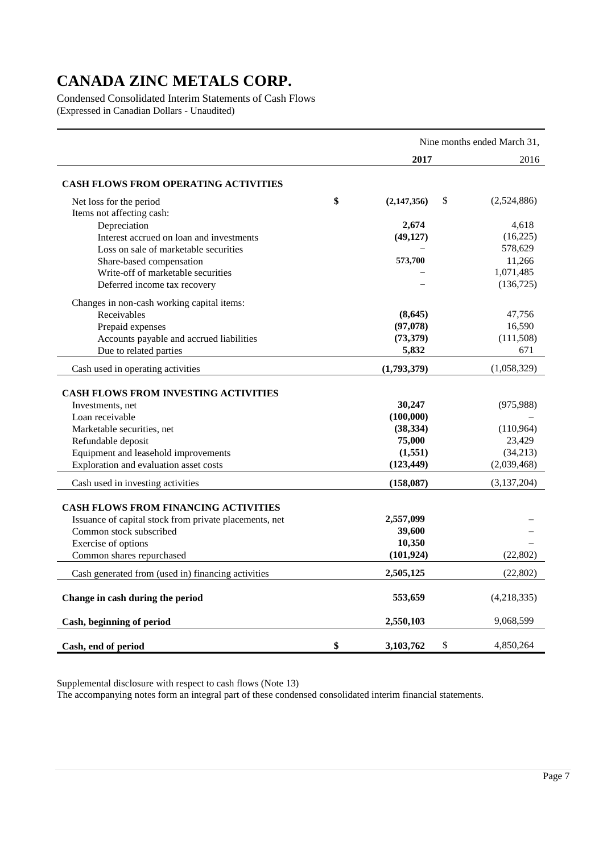Condensed Consolidated Interim Statements of Cash Flows (Expressed in Canadian Dollars - Unaudited)

|                                                                 | Nine months ended March 31, |    |               |  |  |  |
|-----------------------------------------------------------------|-----------------------------|----|---------------|--|--|--|
|                                                                 | 2017                        |    | 2016          |  |  |  |
| <b>CASH FLOWS FROM OPERATING ACTIVITIES</b>                     |                             |    |               |  |  |  |
| Net loss for the period<br>Items not affecting cash:            | \$<br>(2,147,356)           | \$ | (2,524,886)   |  |  |  |
| Depreciation                                                    | 2,674                       |    | 4,618         |  |  |  |
| Interest accrued on loan and investments                        | (49, 127)                   |    | (16,225)      |  |  |  |
| Loss on sale of marketable securities                           |                             |    | 578,629       |  |  |  |
| Share-based compensation                                        | 573,700                     |    | 11,266        |  |  |  |
| Write-off of marketable securities                              |                             |    | 1,071,485     |  |  |  |
| Deferred income tax recovery                                    |                             |    | (136, 725)    |  |  |  |
| Changes in non-cash working capital items:                      |                             |    |               |  |  |  |
| Receivables                                                     | (8,645)                     |    | 47,756        |  |  |  |
| Prepaid expenses                                                | (97, 078)                   |    | 16,590        |  |  |  |
| Accounts payable and accrued liabilities                        | (73, 379)                   |    | (111,508)     |  |  |  |
| Due to related parties                                          | 5,832                       |    | 671           |  |  |  |
| Cash used in operating activities                               | (1,793,379)                 |    | (1,058,329)   |  |  |  |
|                                                                 |                             |    |               |  |  |  |
| <b>CASH FLOWS FROM INVESTING ACTIVITIES</b><br>Investments, net | 30,247                      |    | (975, 988)    |  |  |  |
| Loan receivable                                                 | (100,000)                   |    |               |  |  |  |
| Marketable securities, net                                      | (38, 334)                   |    | (110,964)     |  |  |  |
| Refundable deposit                                              | 75,000                      |    | 23,429        |  |  |  |
| Equipment and leasehold improvements                            | (1, 551)                    |    | (34,213)      |  |  |  |
| Exploration and evaluation asset costs                          | (123, 449)                  |    | (2,039,468)   |  |  |  |
| Cash used in investing activities                               | (158,087)                   |    | (3, 137, 204) |  |  |  |
|                                                                 |                             |    |               |  |  |  |
| <b>CASH FLOWS FROM FINANCING ACTIVITIES</b>                     |                             |    |               |  |  |  |
| Issuance of capital stock from private placements, net          | 2,557,099                   |    |               |  |  |  |
| Common stock subscribed                                         | 39,600<br>10,350            |    |               |  |  |  |
| Exercise of options                                             | (101, 924)                  |    | (22, 802)     |  |  |  |
| Common shares repurchased                                       |                             |    |               |  |  |  |
| Cash generated from (used in) financing activities              | 2,505,125                   |    | (22, 802)     |  |  |  |
| Change in cash during the period                                | 553,659                     |    | (4,218,335)   |  |  |  |
| Cash, beginning of period                                       | 2,550,103                   |    | 9,068,599     |  |  |  |
| Cash, end of period                                             | \$<br>3,103,762             | \$ | 4,850,264     |  |  |  |

Supplemental disclosure with respect to cash flows (Note 13)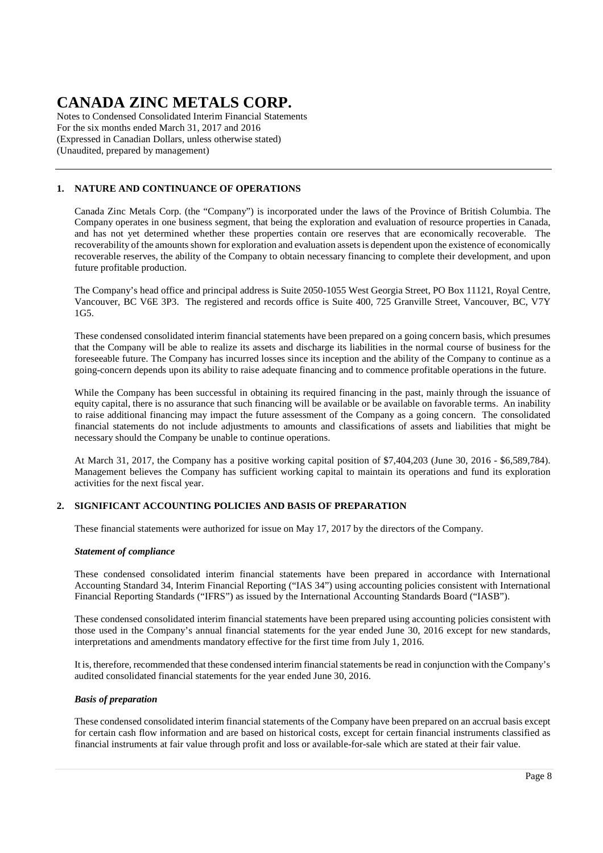Notes to Condensed Consolidated Interim Financial Statements For the six months ended March 31, 2017 and 2016 (Expressed in Canadian Dollars, unless otherwise stated) (Unaudited, prepared by management)

### **1. NATURE AND CONTINUANCE OF OPERATIONS**

Canada Zinc Metals Corp. (the "Company") is incorporated under the laws of the Province of British Columbia. The Company operates in one business segment, that being the exploration and evaluation of resource properties in Canada, and has not yet determined whether these properties contain ore reserves that are economically recoverable. The recoverability of the amounts shown for exploration and evaluation assets is dependent upon the existence of economically recoverable reserves, the ability of the Company to obtain necessary financing to complete their development, and upon future profitable production.

The Company's head office and principal address is Suite 2050-1055 West Georgia Street, PO Box 11121, Royal Centre, Vancouver, BC V6E 3P3. The registered and records office is Suite 400, 725 Granville Street, Vancouver, BC, V7Y 1G5.

These condensed consolidated interim financial statements have been prepared on a going concern basis, which presumes that the Company will be able to realize its assets and discharge its liabilities in the normal course of business for the foreseeable future. The Company has incurred losses since its inception and the ability of the Company to continue as a going-concern depends upon its ability to raise adequate financing and to commence profitable operations in the future.

While the Company has been successful in obtaining its required financing in the past, mainly through the issuance of equity capital, there is no assurance that such financing will be available or be available on favorable terms. An inability to raise additional financing may impact the future assessment of the Company as a going concern. The consolidated financial statements do not include adjustments to amounts and classifications of assets and liabilities that might be necessary should the Company be unable to continue operations.

At March 31, 2017, the Company has a positive working capital position of \$7,404,203 (June 30, 2016 - \$6,589,784). Management believes the Company has sufficient working capital to maintain its operations and fund its exploration activities for the next fiscal year.

#### **2. SIGNIFICANT ACCOUNTING POLICIES AND BASIS OF PREPARATION**

These financial statements were authorized for issue on May 17, 2017 by the directors of the Company.

#### *Statement of compliance*

These condensed consolidated interim financial statements have been prepared in accordance with International Accounting Standard 34, Interim Financial Reporting ("IAS 34") using accounting policies consistent with International Financial Reporting Standards ("IFRS") as issued by the International Accounting Standards Board ("IASB").

These condensed consolidated interim financial statements have been prepared using accounting policies consistent with those used in the Company's annual financial statements for the year ended June 30, 2016 except for new standards, interpretations and amendments mandatory effective for the first time from July 1, 2016.

It is, therefore, recommended that these condensed interim financial statements be read in conjunction with the Company's audited consolidated financial statements for the year ended June 30, 2016.

#### *Basis of preparation*

These condensed consolidated interim financial statements of the Company have been prepared on an accrual basis except for certain cash flow information and are based on historical costs, except for certain financial instruments classified as financial instruments at fair value through profit and loss or available-for-sale which are stated at their fair value.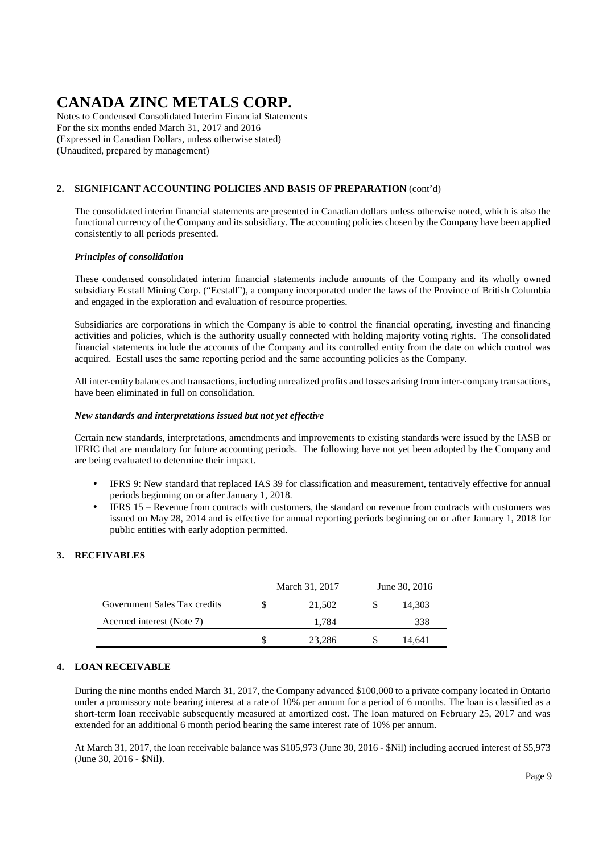Notes to Condensed Consolidated Interim Financial Statements For the six months ended March 31, 2017 and 2016 (Expressed in Canadian Dollars, unless otherwise stated) (Unaudited, prepared by management)

### **2. SIGNIFICANT ACCOUNTING POLICIES AND BASIS OF PREPARATION** (cont'd)

The consolidated interim financial statements are presented in Canadian dollars unless otherwise noted, which is also the functional currency of the Company and its subsidiary. The accounting policies chosen by the Company have been applied consistently to all periods presented.

#### *Principles of consolidation*

These condensed consolidated interim financial statements include amounts of the Company and its wholly owned subsidiary Ecstall Mining Corp. ("Ecstall"), a company incorporated under the laws of the Province of British Columbia and engaged in the exploration and evaluation of resource properties.

Subsidiaries are corporations in which the Company is able to control the financial operating, investing and financing activities and policies, which is the authority usually connected with holding majority voting rights. The consolidated financial statements include the accounts of the Company and its controlled entity from the date on which control was acquired. Ecstall uses the same reporting period and the same accounting policies as the Company.

All inter-entity balances and transactions, including unrealized profits and losses arising from inter-company transactions, have been eliminated in full on consolidation.

#### *New standards and interpretations issued but not yet effective*

Certain new standards, interpretations, amendments and improvements to existing standards were issued by the IASB or IFRIC that are mandatory for future accounting periods. The following have not yet been adopted by the Company and are being evaluated to determine their impact.

- IFRS 9: New standard that replaced IAS 39 for classification and measurement, tentatively effective for annual periods beginning on or after January 1, 2018.
- IFRS 15 Revenue from contracts with customers, the standard on revenue from contracts with customers was issued on May 28, 2014 and is effective for annual reporting periods beginning on or after January 1, 2018 for public entities with early adoption permitted.

### **3. RECEIVABLES**

|                              | March 31, 2017<br>June 30, 2016 |  |        |  |
|------------------------------|---------------------------------|--|--------|--|
| Government Sales Tax credits | 21,502                          |  | 14,303 |  |
| Accrued interest (Note 7)    | 1.784                           |  | 338    |  |
|                              | 23,286                          |  | 14,641 |  |

#### **4. LOAN RECEIVABLE**

During the nine months ended March 31, 2017, the Company advanced \$100,000 to a private company located in Ontario under a promissory note bearing interest at a rate of 10% per annum for a period of 6 months. The loan is classified as a short-term loan receivable subsequently measured at amortized cost. The loan matured on February 25, 2017 and was extended for an additional 6 month period bearing the same interest rate of 10% per annum.

At March 31, 2017, the loan receivable balance was \$105,973 (June 30, 2016 - \$Nil) including accrued interest of \$5,973 (June 30, 2016 - \$Nil).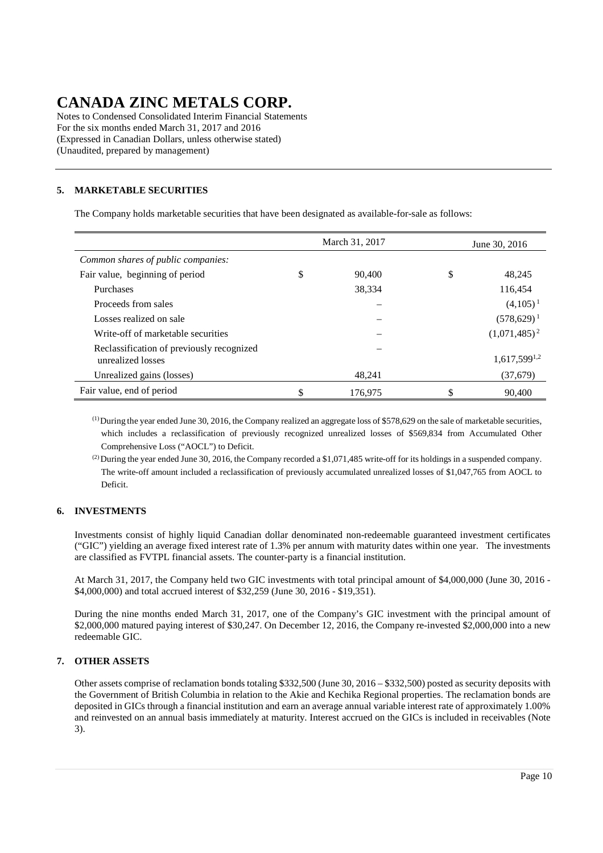Notes to Condensed Consolidated Interim Financial Statements For the six months ended March 31, 2017 and 2016 (Expressed in Canadian Dollars, unless otherwise stated) (Unaudited, prepared by management)

### **5. MARKETABLE SECURITIES**

The Company holds marketable securities that have been designated as available-for-sale as follows:

|                                                                | March 31, 2017 | June 30, 2016     |  |  |  |
|----------------------------------------------------------------|----------------|-------------------|--|--|--|
| Common shares of public companies:                             |                |                   |  |  |  |
| Fair value, beginning of period                                | \$<br>90.400   | \$<br>48,245      |  |  |  |
| Purchases                                                      | 38,334         | 116,454           |  |  |  |
| Proceeds from sales                                            |                | $(4,105)^1$       |  |  |  |
| Losses realized on sale                                        |                | $(578,629)^1$     |  |  |  |
| Write-off of marketable securities                             |                | $(1,071,485)^2$   |  |  |  |
| Reclassification of previously recognized<br>unrealized losses |                | $1,617,599^{1,2}$ |  |  |  |
| Unrealized gains (losses)                                      | 48.241         | (37,679)          |  |  |  |
| Fair value, end of period                                      | \$<br>176.975  | 90,400            |  |  |  |

(1) During the year ended June 30, 2016, the Company realized an aggregate loss of \$578,629 on the sale of marketable securities, which includes a reclassification of previously recognized unrealized losses of \$569,834 from Accumulated Other Comprehensive Loss ("AOCL") to Deficit.

(2) During the year ended June 30, 2016, the Company recorded a \$1,071,485 write-off for its holdings in a suspended company. The write-off amount included a reclassification of previously accumulated unrealized losses of \$1,047,765 from AOCL to Deficit.

### **6. INVESTMENTS**

Investments consist of highly liquid Canadian dollar denominated non-redeemable guaranteed investment certificates ("GIC") yielding an average fixed interest rate of 1.3% per annum with maturity dates within one year. The investments are classified as FVTPL financial assets. The counter-party is a financial institution.

At March 31, 2017, the Company held two GIC investments with total principal amount of \$4,000,000 (June 30, 2016 - \$4,000,000) and total accrued interest of \$32,259 (June 30, 2016 - \$19,351).

During the nine months ended March 31, 2017, one of the Company's GIC investment with the principal amount of \$2,000,000 matured paying interest of \$30,247. On December 12, 2016, the Company re-invested \$2,000,000 into a new redeemable GIC.

### **7. OTHER ASSETS**

Other assets comprise of reclamation bonds totaling \$332,500 (June 30, 2016 – \$332,500) posted as security deposits with the Government of British Columbia in relation to the Akie and Kechika Regional properties. The reclamation bonds are deposited in GICs through a financial institution and earn an average annual variable interest rate of approximately 1.00% and reinvested on an annual basis immediately at maturity. Interest accrued on the GICs is included in receivables (Note 3).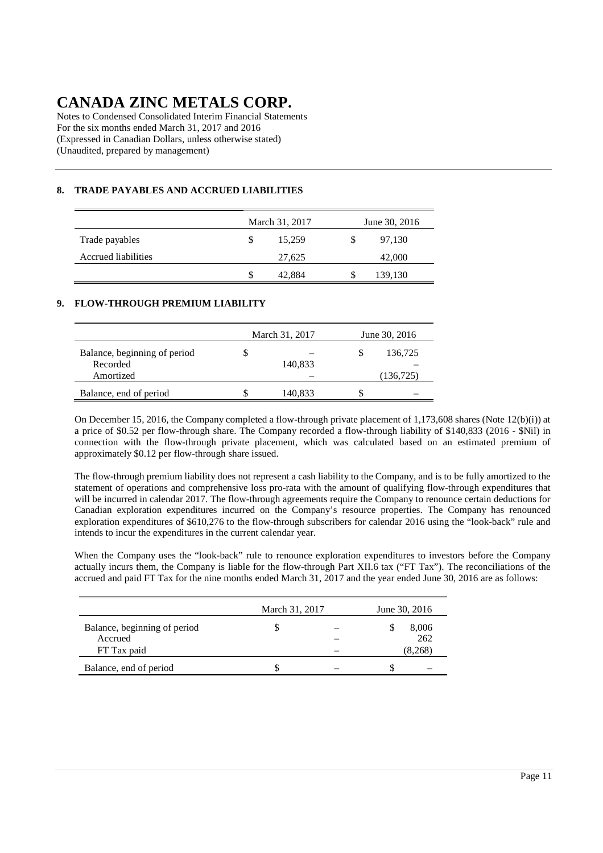Notes to Condensed Consolidated Interim Financial Statements For the six months ended March 31, 2017 and 2016 (Expressed in Canadian Dollars, unless otherwise stated) (Unaudited, prepared by management)

### **8. TRADE PAYABLES AND ACCRUED LIABILITIES**

|                            |    | March 31, 2017 | June 30, 2016 |         |  |  |  |
|----------------------------|----|----------------|---------------|---------|--|--|--|
| Trade payables             | S  | 15,259         | S             | 97,130  |  |  |  |
| <b>Accrued liabilities</b> |    | 27,625         |               | 42,000  |  |  |  |
|                            | \$ | 42,884         | S             | 139,130 |  |  |  |

### **9. FLOW-THROUGH PREMIUM LIABILITY**

|                                          |   | March 31, 2017 | June 30, 2016 |           |  |  |
|------------------------------------------|---|----------------|---------------|-----------|--|--|
| Balance, beginning of period<br>Recorded | J | 140,833        | S             | 136,725   |  |  |
| Amortized                                |   |                |               | (136,725) |  |  |
| Balance, end of period                   |   | 140,833        |               |           |  |  |

On December 15, 2016, the Company completed a flow-through private placement of 1,173,608 shares (Note 12(b)(i)) at a price of \$0.52 per flow-through share. The Company recorded a flow-through liability of \$140,833 (2016 - \$Nil) in connection with the flow-through private placement, which was calculated based on an estimated premium of approximately \$0.12 per flow-through share issued.

The flow-through premium liability does not represent a cash liability to the Company, and is to be fully amortized to the statement of operations and comprehensive loss pro-rata with the amount of qualifying flow-through expenditures that will be incurred in calendar 2017. The flow-through agreements require the Company to renounce certain deductions for Canadian exploration expenditures incurred on the Company's resource properties. The Company has renounced exploration expenditures of \$610,276 to the flow-through subscribers for calendar 2016 using the "look-back" rule and intends to incur the expenditures in the current calendar year.

When the Company uses the "look-back" rule to renounce exploration expenditures to investors before the Company actually incurs them, the Company is liable for the flow-through Part XII.6 tax ("FT Tax"). The reconciliations of the accrued and paid FT Tax for the nine months ended March 31, 2017 and the year ended June 30, 2016 are as follows:

|                              | March 31, 2017 | June 30, 2016 |  |         |  |  |
|------------------------------|----------------|---------------|--|---------|--|--|
| Balance, beginning of period |                |               |  | 8,006   |  |  |
| Accrued                      |                |               |  | 262     |  |  |
| FT Tax paid                  |                |               |  | (8.268) |  |  |
| Balance, end of period       |                |               |  |         |  |  |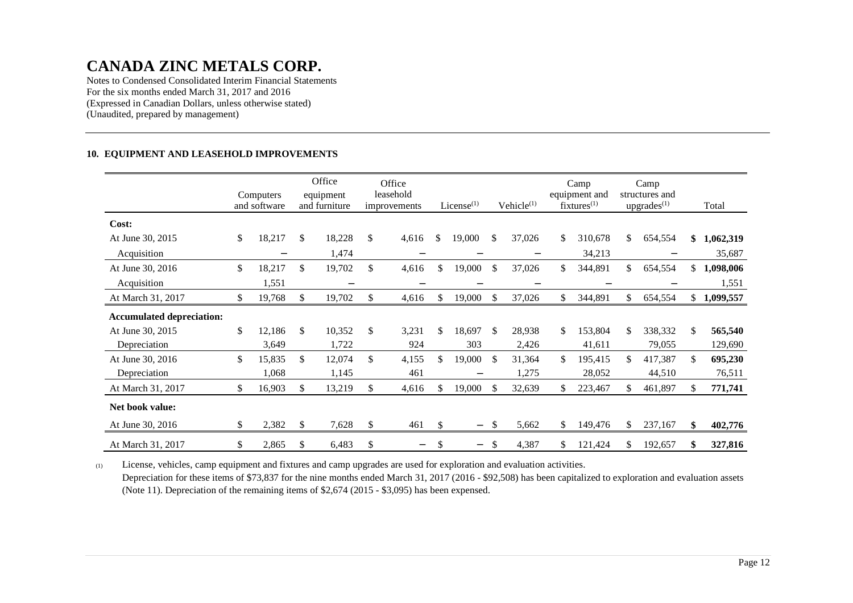Notes to Condensed Consolidated Interim Financial Statements For the six months ended March 31, 2017 and 2016 (Expressed in Canadian Dollars, unless otherwise stated) (Unaudited, prepared by management)

#### **10. EQUIPMENT AND LEASEHOLD IMPROVEMENTS**

|                                  | Computers<br>and software |     | Office<br>equipment<br>and furniture | Office<br>leasehold<br>improvements |               | License $(1)$     |               | Vehicle <sup>(1)</sup> |     | Camp<br>equipment and<br>$fixtures^{(1)}$ |     | Camp<br>structures and<br>upgrades <sup>(1)</sup> |     | Total       |
|----------------------------------|---------------------------|-----|--------------------------------------|-------------------------------------|---------------|-------------------|---------------|------------------------|-----|-------------------------------------------|-----|---------------------------------------------------|-----|-------------|
| Cost:                            |                           |     |                                      |                                     |               |                   |               |                        |     |                                           |     |                                                   |     |             |
| At June 30, 2015                 | \$<br>18,217              | \$  | 18,228                               | \$<br>4,616                         | <sup>\$</sup> | 19,000            | \$            | 37,026                 | \$  | 310,678                                   | \$  | 654,554                                           | \$  | 1,062,319   |
| Acquisition                      |                           |     | 1,474                                |                                     |               |                   |               | —                      |     | 34,213                                    |     |                                                   |     | 35,687      |
| At June 30, 2016                 | \$<br>18,217              | \$  | 19,702                               | \$<br>4,616                         | \$            | 19,000            | \$            | 37,026                 | \$  | 344,891                                   | \$  | 654,554                                           | \$  | 1,098,006   |
| Acquisition                      | 1,551                     |     | —                                    |                                     |               |                   |               |                        |     |                                           |     |                                                   |     | 1,551       |
| At March 31, 2017                | \$<br>19,768              | S   | 19,702                               | \$<br>4,616                         | S             | 19,000            | <sup>\$</sup> | 37,026                 | \$  | 344,891                                   | \$  | 654,554                                           |     | \$1,099,557 |
| <b>Accumulated depreciation:</b> |                           |     |                                      |                                     |               |                   |               |                        |     |                                           |     |                                                   |     |             |
| At June 30, 2015                 | \$<br>12,186              | \$  | 10,352                               | \$<br>3,231                         | \$            | 18,697            | \$            | 28,938                 | \$  | 153,804                                   | \$  | 338,332                                           | \$  | 565,540     |
| Depreciation                     | 3,649                     |     | 1,722                                | 924                                 |               | 303               |               | 2,426                  |     | 41,611                                    |     | 79,055                                            |     | 129,690     |
| At June 30, 2016                 | \$<br>15,835              | \$  | 12,074                               | \$<br>4,155                         | \$            | 19,000            | <sup>\$</sup> | 31,364                 | \$  | 195,415                                   | \$. | 417,387                                           | \$  | 695,230     |
| Depreciation                     | 1,068                     |     | 1,145                                | 461                                 |               | —                 |               | 1,275                  |     | 28,052                                    |     | 44,510                                            |     | 76,511      |
| At March 31, 2017                | \$<br>16,903              | \$. | 13,219                               | \$<br>4,616                         | \$.           | 19,000            | <sup>\$</sup> | 32,639                 | \$  | 223,467                                   | S.  | 461,897                                           | \$. | 771,741     |
| Net book value:                  |                           |     |                                      |                                     |               |                   |               |                        |     |                                           |     |                                                   |     |             |
| At June 30, 2016                 | \$<br>2,382               | \$  | 7,628                                | \$<br>461                           | \$            | $\qquad \qquad -$ | <sup>\$</sup> | 5,662                  | \$  | 149,476                                   | S.  | 237,167                                           | \$  | 402,776     |
| At March 31, 2017                | \$<br>2,865               | \$  | 6,483                                | \$<br>—                             | \$            | $\qquad \qquad -$ | \$.           | 4,387                  | \$. | 121,424                                   |     | 192,657                                           | \$  | 327,816     |

(1) License, vehicles, camp equipment and fixtures and camp upgrades are used for exploration and evaluation activities. Depreciation for these items of \$73,837 for the nine months ended March 31, 2017 (2016 - \$92,508) has been capitalized to exploration and evaluation assets (Note 11). Depreciation of the remaining items of \$2,674 (2015 - \$3,095) has been expensed.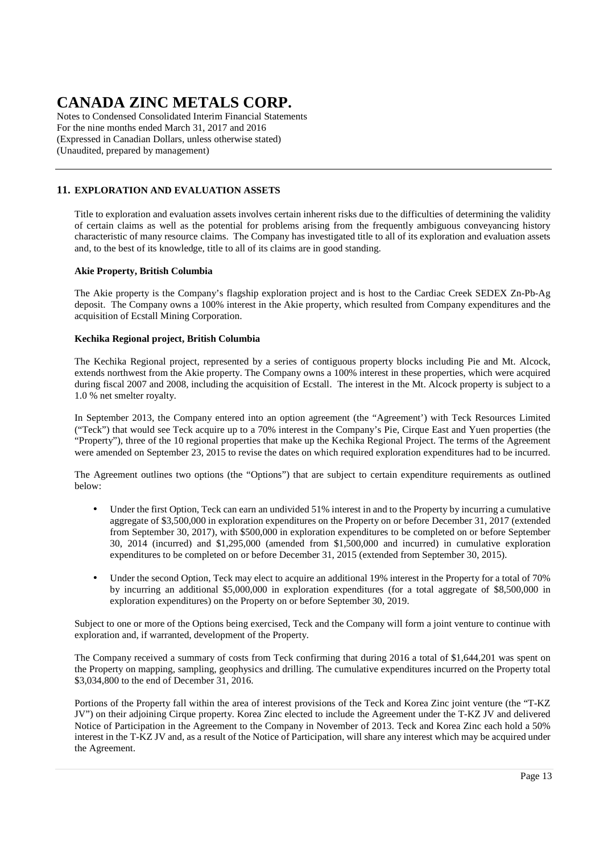Notes to Condensed Consolidated Interim Financial Statements For the nine months ended March 31, 2017 and 2016 (Expressed in Canadian Dollars, unless otherwise stated) (Unaudited, prepared by management)

### **11. EXPLORATION AND EVALUATION ASSETS**

Title to exploration and evaluation assets involves certain inherent risks due to the difficulties of determining the validity of certain claims as well as the potential for problems arising from the frequently ambiguous conveyancing history characteristic of many resource claims. The Company has investigated title to all of its exploration and evaluation assets and, to the best of its knowledge, title to all of its claims are in good standing.

#### **Akie Property, British Columbia**

The Akie property is the Company's flagship exploration project and is host to the Cardiac Creek SEDEX Zn-Pb-Ag deposit. The Company owns a 100% interest in the Akie property, which resulted from Company expenditures and the acquisition of Ecstall Mining Corporation.

#### **Kechika Regional project, British Columbia**

The Kechika Regional project, represented by a series of contiguous property blocks including Pie and Mt. Alcock, extends northwest from the Akie property. The Company owns a 100% interest in these properties, which were acquired during fiscal 2007 and 2008, including the acquisition of Ecstall. The interest in the Mt. Alcock property is subject to a 1.0 % net smelter royalty.

In September 2013, the Company entered into an option agreement (the "Agreement') with Teck Resources Limited ("Teck") that would see Teck acquire up to a 70% interest in the Company's Pie, Cirque East and Yuen properties (the "Property"), three of the 10 regional properties that make up the Kechika Regional Project. The terms of the Agreement were amended on September 23, 2015 to revise the dates on which required exploration expenditures had to be incurred.

The Agreement outlines two options (the "Options") that are subject to certain expenditure requirements as outlined below:

- Under the first Option, Teck can earn an undivided 51% interest in and to the Property by incurring a cumulative aggregate of \$3,500,000 in exploration expenditures on the Property on or before December 31, 2017 (extended from September 30, 2017), with \$500,000 in exploration expenditures to be completed on or before September 30, 2014 (incurred) and \$1,295,000 (amended from \$1,500,000 and incurred) in cumulative exploration expenditures to be completed on or before December 31, 2015 (extended from September 30, 2015).
- Under the second Option, Teck may elect to acquire an additional 19% interest in the Property for a total of 70% by incurring an additional \$5,000,000 in exploration expenditures (for a total aggregate of \$8,500,000 in exploration expenditures) on the Property on or before September 30, 2019.

Subject to one or more of the Options being exercised, Teck and the Company will form a joint venture to continue with exploration and, if warranted, development of the Property.

The Company received a summary of costs from Teck confirming that during 2016 a total of \$1,644,201 was spent on the Property on mapping, sampling, geophysics and drilling. The cumulative expenditures incurred on the Property total \$3,034,800 to the end of December 31, 2016.

Portions of the Property fall within the area of interest provisions of the Teck and Korea Zinc joint venture (the "T-KZ JV") on their adjoining Cirque property. Korea Zinc elected to include the Agreement under the T-KZ JV and delivered Notice of Participation in the Agreement to the Company in November of 2013. Teck and Korea Zinc each hold a 50% interest in the T-KZ JV and, as a result of the Notice of Participation, will share any interest which may be acquired under the Agreement.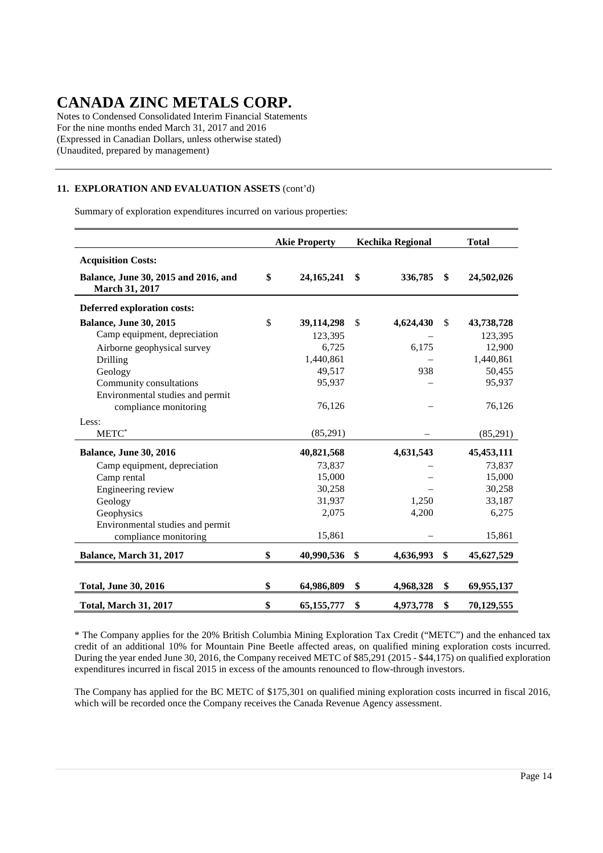Notes to Condensed Consolidated Interim Financial Statements For the nine months ended March 31, 2017 and 2016 (Expressed in Canadian Dollars, unless otherwise stated) (Unaudited, prepared by management)

### **11. EXPLORATION AND EVALUATION ASSETS** (cont'd)

Summary of exploration expenditures incurred on various properties:

|                                                        | <b>Akie Property</b> |              | <b>Kechika Regional</b> | <b>Total</b> |              |  |
|--------------------------------------------------------|----------------------|--------------|-------------------------|--------------|--------------|--|
| <b>Acquisition Costs:</b>                              |                      |              |                         |              |              |  |
| Balance, June 30, 2015 and 2016, and<br>March 31, 2017 | \$                   | 24, 165, 241 | \$<br>336,785           | \$           | 24,502,026   |  |
| Deferred exploration costs:                            |                      |              |                         |              |              |  |
| <b>Balance, June 30, 2015</b>                          | \$                   | 39,114,298   | \$<br>4,624,430         | \$           | 43,738,728   |  |
| Camp equipment, depreciation                           |                      | 123,395      |                         |              | 123,395      |  |
| Airborne geophysical survey                            |                      | 6,725        | 6,175                   |              | 12,900       |  |
| Drilling                                               |                      | 1,440,861    |                         |              | 1,440,861    |  |
| Geology                                                |                      | 49,517       | 938                     |              | 50,455       |  |
| Community consultations                                |                      | 95,937       |                         |              | 95,937       |  |
| Environmental studies and permit                       |                      |              |                         |              |              |  |
| compliance monitoring                                  |                      | 76,126       |                         |              | 76,126       |  |
| Less:                                                  |                      |              |                         |              |              |  |
| METC*                                                  |                      | (85,291)     |                         |              | (85,291)     |  |
| <b>Balance, June 30, 2016</b>                          |                      | 40,821,568   | 4,631,543               |              | 45, 453, 111 |  |
| Camp equipment, depreciation                           |                      | 73,837       |                         |              | 73,837       |  |
| Camp rental                                            |                      | 15,000       |                         |              | 15,000       |  |
| Engineering review                                     |                      | 30,258       |                         |              | 30,258       |  |
| Geology                                                |                      | 31,937       | 1,250                   |              | 33,187       |  |
| Geophysics                                             |                      | 2,075        | 4,200                   |              | 6,275        |  |
| Environmental studies and permit                       |                      |              |                         |              |              |  |
| compliance monitoring                                  |                      | 15,861       |                         |              | 15,861       |  |
| Balance, March 31, 2017                                | \$                   | 40,990,536   | \$<br>4,636,993         | \$           | 45,627,529   |  |
|                                                        |                      |              |                         |              |              |  |
| <b>Total, June 30, 2016</b>                            | \$                   | 64,986,809   | \$<br>4,968,328         | \$           | 69,955,137   |  |
| <b>Total, March 31, 2017</b>                           | \$                   | 65,155,777   | \$<br>4,973,778         | \$           | 70,129,555   |  |

\* The Company applies for the 20% British Columbia Mining Exploration Tax Credit ("METC") and the enhanced tax credit of an additional 10% for Mountain Pine Beetle affected areas, on qualified mining exploration costs incurred. During the year ended June 30, 2016, the Company received METC of \$85,291 (2015 - \$44,175) on qualified exploration expenditures incurred in fiscal 2015 in excess of the amounts renounced to flow-through investors.

The Company has applied for the BC METC of \$175,301 on qualified mining exploration costs incurred in fiscal 2016, which will be recorded once the Company receives the Canada Revenue Agency assessment.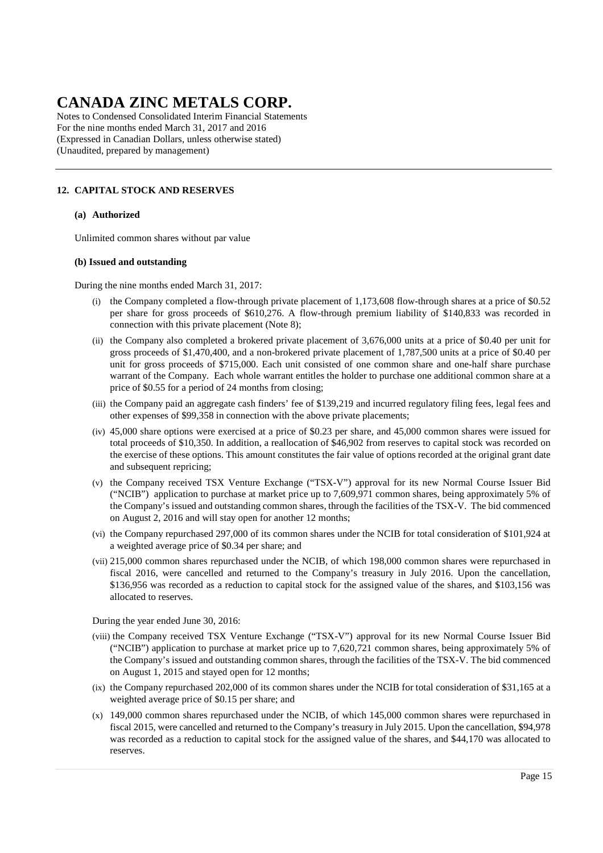Notes to Condensed Consolidated Interim Financial Statements For the nine months ended March 31, 2017 and 2016 (Expressed in Canadian Dollars, unless otherwise stated) (Unaudited, prepared by management)

### **12. CAPITAL STOCK AND RESERVES**

#### **(a) Authorized**

Unlimited common shares without par value

#### **(b) Issued and outstanding**

During the nine months ended March 31, 2017:

- (i) the Company completed a flow-through private placement of 1,173,608 flow-through shares at a price of \$0.52 per share for gross proceeds of \$610,276. A flow-through premium liability of \$140,833 was recorded in connection with this private placement (Note 8);
- (ii) the Company also completed a brokered private placement of 3,676,000 units at a price of \$0.40 per unit for gross proceeds of \$1,470,400, and a non-brokered private placement of 1,787,500 units at a price of \$0.40 per unit for gross proceeds of \$715,000. Each unit consisted of one common share and one-half share purchase warrant of the Company. Each whole warrant entitles the holder to purchase one additional common share at a price of \$0.55 for a period of 24 months from closing;
- (iii) the Company paid an aggregate cash finders' fee of \$139,219 and incurred regulatory filing fees, legal fees and other expenses of \$99,358 in connection with the above private placements;
- (iv) 45,000 share options were exercised at a price of \$0.23 per share, and 45,000 common shares were issued for total proceeds of \$10,350. In addition, a reallocation of \$46,902 from reserves to capital stock was recorded on the exercise of these options. This amount constitutes the fair value of options recorded at the original grant date and subsequent repricing;
- (v) the Company received TSX Venture Exchange ("TSX-V") approval for its new Normal Course Issuer Bid ("NCIB") application to purchase at market price up to 7,609,971 common shares, being approximately 5% of the Company's issued and outstanding common shares, through the facilities of the TSX-V. The bid commenced on August 2, 2016 and will stay open for another 12 months;
- (vi) the Company repurchased 297,000 of its common shares under the NCIB for total consideration of \$101,924 at a weighted average price of \$0.34 per share; and
- (vii) 215,000 common shares repurchased under the NCIB, of which 198,000 common shares were repurchased in fiscal 2016, were cancelled and returned to the Company's treasury in July 2016. Upon the cancellation, \$136,956 was recorded as a reduction to capital stock for the assigned value of the shares, and \$103,156 was allocated to reserves.

During the year ended June 30, 2016:

- (viii) the Company received TSX Venture Exchange ("TSX-V") approval for its new Normal Course Issuer Bid ("NCIB") application to purchase at market price up to 7,620,721 common shares, being approximately 5% of the Company's issued and outstanding common shares, through the facilities of the TSX-V. The bid commenced on August 1, 2015 and stayed open for 12 months;
- (ix) the Company repurchased 202,000 of its common shares under the NCIB for total consideration of \$31,165 at a weighted average price of \$0.15 per share; and
- (x) 149,000 common shares repurchased under the NCIB, of which 145,000 common shares were repurchased in fiscal 2015, were cancelled and returned to the Company's treasury in July 2015. Upon the cancellation, \$94,978 was recorded as a reduction to capital stock for the assigned value of the shares, and \$44,170 was allocated to reserves.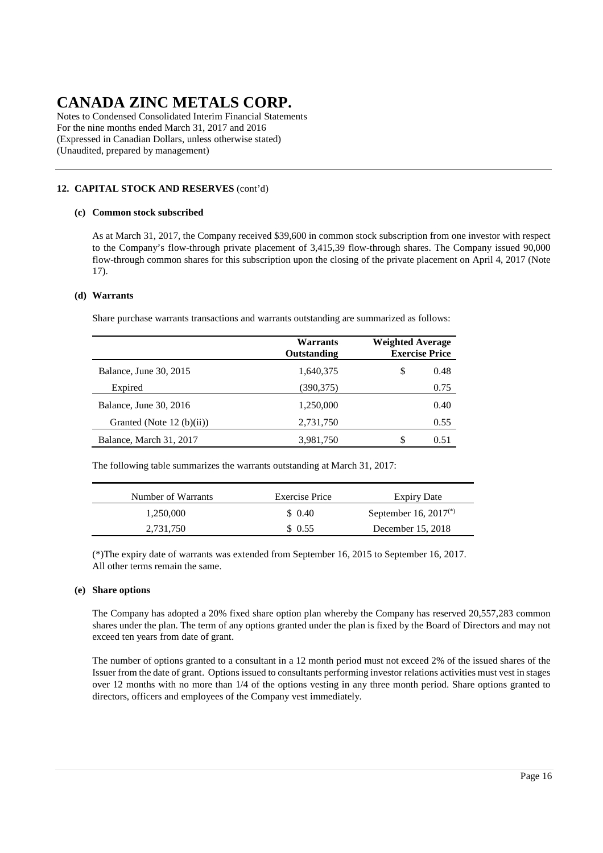Notes to Condensed Consolidated Interim Financial Statements For the nine months ended March 31, 2017 and 2016 (Expressed in Canadian Dollars, unless otherwise stated) (Unaudited, prepared by management)

### **12. CAPITAL STOCK AND RESERVES** (cont'd)

#### **(c) Common stock subscribed**

As at March 31, 2017, the Company received \$39,600 in common stock subscription from one investor with respect to the Company's flow-through private placement of 3,415,39 flow-through shares. The Company issued 90,000 flow-through common shares for this subscription upon the closing of the private placement on April 4, 2017 (Note 17).

#### **(d) Warrants**

Share purchase warrants transactions and warrants outstanding are summarized as follows:

|                             | Warrants<br>Outstanding | <b>Weighted Average</b><br><b>Exercise Price</b> |  |
|-----------------------------|-------------------------|--------------------------------------------------|--|
| Balance, June 30, 2015      | 1,640,375               | \$<br>0.48                                       |  |
| Expired                     | (390,375)               | 0.75                                             |  |
| Balance, June 30, 2016      | 1,250,000               | 0.40                                             |  |
| Granted (Note $12$ (b)(ii)) | 2,731,750               | 0.55                                             |  |
| Balance, March 31, 2017     | 3,981,750               | S<br>0.51                                        |  |

The following table summarizes the warrants outstanding at March 31, 2017:

| Number of Warrants | Exercise Price | <b>Expiry Date</b>         |
|--------------------|----------------|----------------------------|
| 1.250.000          | \$ 0.40        | September 16, $2017^{(*)}$ |
| 2,731,750          | \$0.55         | December 15, 2018          |

(\*)The expiry date of warrants was extended from September 16, 2015 to September 16, 2017. All other terms remain the same.

#### **(e) Share options**

The Company has adopted a 20% fixed share option plan whereby the Company has reserved 20,557,283 common shares under the plan. The term of any options granted under the plan is fixed by the Board of Directors and may not exceed ten years from date of grant.

The number of options granted to a consultant in a 12 month period must not exceed 2% of the issued shares of the Issuer from the date of grant. Options issued to consultants performing investor relations activities must vest in stages over 12 months with no more than 1/4 of the options vesting in any three month period. Share options granted to directors, officers and employees of the Company vest immediately.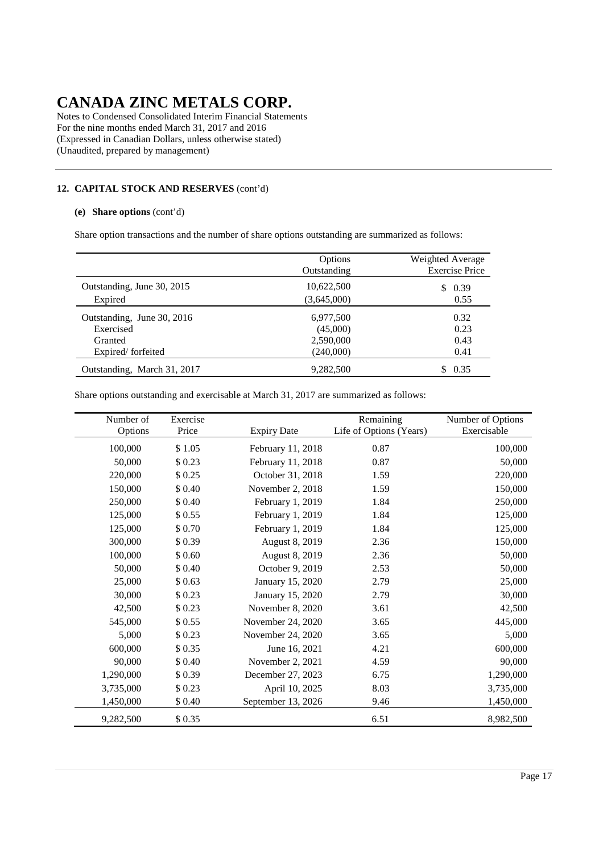Notes to Condensed Consolidated Interim Financial Statements For the nine months ended March 31, 2017 and 2016 (Expressed in Canadian Dollars, unless otherwise stated) (Unaudited, prepared by management)

### **12. CAPITAL STOCK AND RESERVES** (cont'd)

#### **(e) Share options** (cont'd)

Share option transactions and the number of share options outstanding are summarized as follows:

|                             | Options<br>Outstanding | Weighted Average<br><b>Exercise Price</b> |
|-----------------------------|------------------------|-------------------------------------------|
| Outstanding, June 30, 2015  | 10,622,500             | 0.39<br>S                                 |
| Expired                     | (3,645,000)            | 0.55                                      |
| Outstanding, June 30, 2016  | 6,977,500              | 0.32                                      |
| Exercised                   | (45,000)               | 0.23                                      |
| Granted                     | 2,590,000              | 0.43                                      |
| Expired/forfeited           | (240,000)              | 0.41                                      |
| Outstanding, March 31, 2017 | 9.282.500              | 0.35                                      |

Share options outstanding and exercisable at March 31, 2017 are summarized as follows:

| Number of | Exercise |                    | Remaining               | Number of Options |
|-----------|----------|--------------------|-------------------------|-------------------|
| Options   | Price    | <b>Expiry Date</b> | Life of Options (Years) | Exercisable       |
| 100,000   | \$1.05   | February 11, 2018  | 0.87                    | 100,000           |
| 50,000    | \$0.23   | February 11, 2018  | 0.87                    | 50,000            |
| 220,000   | \$0.25   | October 31, 2018   | 1.59                    | 220,000           |
| 150,000   | \$0.40   | November 2, 2018   | 1.59                    | 150,000           |
| 250,000   | \$0.40   | February 1, 2019   | 1.84                    | 250,000           |
| 125,000   | \$0.55   | February 1, 2019   | 1.84                    | 125,000           |
| 125,000   | \$0.70   | February 1, 2019   | 1.84                    | 125,000           |
| 300,000   | \$0.39   | August 8, 2019     | 2.36                    | 150,000           |
| 100,000   | \$0.60   | August 8, 2019     | 2.36                    | 50,000            |
| 50,000    | \$0.40   | October 9, 2019    | 2.53                    | 50,000            |
| 25,000    | \$0.63   | January 15, 2020   | 2.79                    | 25,000            |
| 30,000    | \$0.23   | January 15, 2020   | 2.79                    | 30,000            |
| 42,500    | \$0.23   | November 8, 2020   | 3.61                    | 42,500            |
| 545,000   | \$0.55   | November 24, 2020  | 3.65                    | 445,000           |
| 5,000     | \$0.23   | November 24, 2020  | 3.65                    | 5,000             |
| 600,000   | \$0.35   | June 16, 2021      | 4.21                    | 600,000           |
| 90,000    | \$0.40   | November 2, 2021   | 4.59                    | 90,000            |
| 1,290,000 | \$0.39   | December 27, 2023  | 6.75                    | 1,290,000         |
| 3,735,000 | \$0.23   | April 10, 2025     | 8.03                    | 3,735,000         |
| 1,450,000 | \$0.40   | September 13, 2026 | 9.46                    | 1,450,000         |
| 9,282,500 | \$0.35   |                    | 6.51                    | 8,982,500         |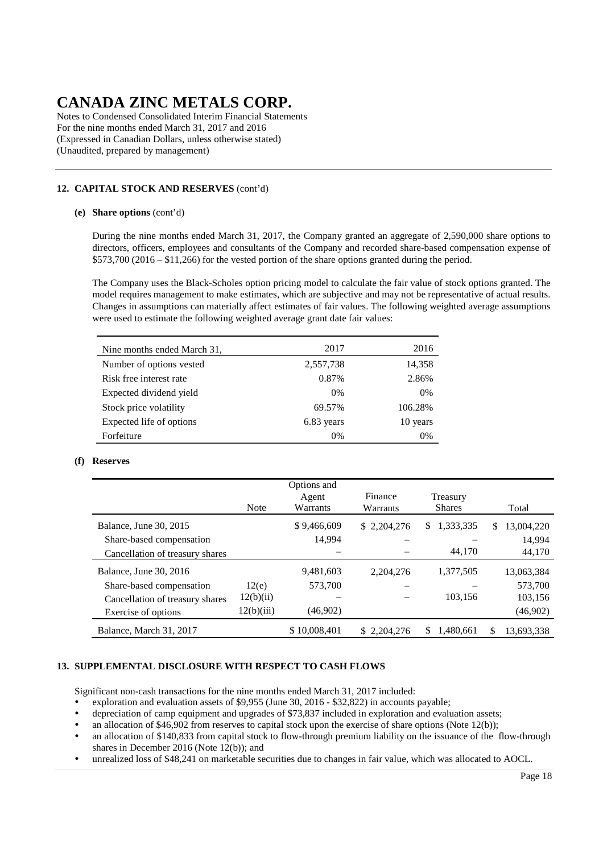Notes to Condensed Consolidated Interim Financial Statements For the nine months ended March 31, 2017 and 2016 (Expressed in Canadian Dollars, unless otherwise stated) (Unaudited, prepared by management)

### **12. CAPITAL STOCK AND RESERVES** (cont'd)

#### **(e) Share options** (cont'd)

During the nine months ended March 31, 2017, the Company granted an aggregate of 2,590,000 share options to directors, officers, employees and consultants of the Company and recorded share-based compensation expense of \$573,700 (2016 – \$11,266) for the vested portion of the share options granted during the period.

The Company uses the Black-Scholes option pricing model to calculate the fair value of stock options granted. The model requires management to make estimates, which are subjective and may not be representative of actual results. Changes in assumptions can materially affect estimates of fair values. The following weighted average assumptions were used to estimate the following weighted average grant date fair values:

| Nine months ended March 31, | 2017       | 2016     |
|-----------------------------|------------|----------|
| Number of options vested    | 2,557,738  | 14,358   |
| Risk free interest rate     | 0.87%      | 2.86%    |
| Expected dividend yield     | $0\%$      | 0%       |
| Stock price volatility      | 69.57%     | 106.28%  |
| Expected life of options    | 6.83 years | 10 years |
| Forfeiture                  | $0\%$      | 0%       |

#### **(f) Reserves**

|                                 | <b>Note</b> | Options and<br>Agent<br>Warrants | Finance<br>Warrants | Treasury<br><b>Shares</b> |    | Total      |
|---------------------------------|-------------|----------------------------------|---------------------|---------------------------|----|------------|
| Balance, June 30, 2015          |             | \$9,466,609                      | \$2,204,276         | 1,333,335<br>\$           | S. | 13,004,220 |
| Share-based compensation        |             | 14,994                           |                     |                           |    | 14.994     |
| Cancellation of treasury shares |             |                                  |                     | 44,170                    |    | 44,170     |
| Balance, June 30, 2016          |             | 9,481,603                        | 2.204.276           | 1,377,505                 |    | 13,063,384 |
| Share-based compensation        | 12(e)       | 573,700                          |                     |                           |    | 573,700    |
| Cancellation of treasury shares | 12(b)(ii)   |                                  |                     | 103,156                   |    | 103,156    |
| Exercise of options             | 12(b)(iii)  | (46,902)                         |                     |                           |    | (46,902)   |
| Balance, March 31, 2017         |             | \$10,008,401                     | \$2,204,276         | \$<br>1,480,661           | S  | 13,693,338 |

#### **13. SUPPLEMENTAL DISCLOSURE WITH RESPECT TO CASH FLOWS**

Significant non-cash transactions for the nine months ended March 31, 2017 included:

exploration and evaluation assets of \$9,955 (June 30, 2016 - \$32,822) in accounts payable;

- depreciation of camp equipment and upgrades of \$73,837 included in exploration and evaluation assets;
- an allocation of \$46,902 from reserves to capital stock upon the exercise of share options (Note 12(b));
- an allocation of \$140,833 from capital stock to flow-through premium liability on the issuance of the flow-through shares in December 2016 (Note 12(b)); and
- unrealized loss of \$48,241 on marketable securities due to changes in fair value, which was allocated to AOCL.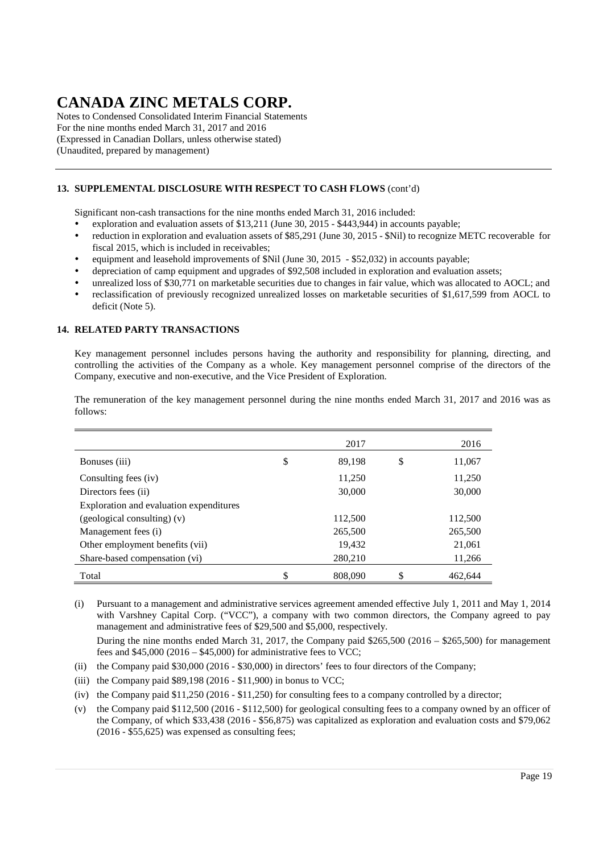Notes to Condensed Consolidated Interim Financial Statements For the nine months ended March 31, 2017 and 2016 (Expressed in Canadian Dollars, unless otherwise stated) (Unaudited, prepared by management)

### **13. SUPPLEMENTAL DISCLOSURE WITH RESPECT TO CASH FLOWS** (cont'd)

Significant non-cash transactions for the nine months ended March 31, 2016 included:

- exploration and evaluation assets of \$13,211 (June 30, 2015 \$443,944) in accounts payable;
- reduction in exploration and evaluation assets of \$85,291 (June 30, 2015 \$Nil) to recognize METC recoverable for fiscal 2015, which is included in receivables;
- equipment and leasehold improvements of \$Nil (June 30, 2015 \$52,032) in accounts payable;
- depreciation of camp equipment and upgrades of \$92,508 included in exploration and evaluation assets;
- unrealized loss of \$30,771 on marketable securities due to changes in fair value, which was allocated to AOCL; and
- reclassification of previously recognized unrealized losses on marketable securities of \$1,617,599 from AOCL to deficit (Note 5).

#### **14. RELATED PARTY TRANSACTIONS**

Key management personnel includes persons having the authority and responsibility for planning, directing, and controlling the activities of the Company as a whole. Key management personnel comprise of the directors of the Company, executive and non-executive, and the Vice President of Exploration.

The remuneration of the key management personnel during the nine months ended March 31, 2017 and 2016 was as follows:

|                                         | 2017          | 2016          |
|-----------------------------------------|---------------|---------------|
| Bonuses (iii)                           | \$<br>89.198  | \$<br>11,067  |
| Consulting fees (iv)                    | 11,250        | 11,250        |
| Directors fees (ii)                     | 30,000        | 30,000        |
| Exploration and evaluation expenditures |               |               |
| (geological consulting) (v)             | 112,500       | 112,500       |
| Management fees (i)                     | 265,500       | 265,500       |
| Other employment benefits (vii)         | 19,432        | 21,061        |
| Share-based compensation (vi)           | 280,210       | 11,266        |
| Total                                   | \$<br>808,090 | \$<br>462,644 |

(i) Pursuant to a management and administrative services agreement amended effective July 1, 2011 and May 1, 2014 with Varshney Capital Corp. ("VCC"), a company with two common directors, the Company agreed to pay management and administrative fees of \$29,500 and \$5,000, respectively.

During the nine months ended March 31, 2017, the Company paid \$265,500 (2016 – \$265,500) for management fees and  $$45,000 (2016 - $45,000)$  for administrative fees to VCC;

- (ii) the Company paid \$30,000 (2016 \$30,000) in directors' fees to four directors of the Company;
- (iii) the Company paid  $$89,198$  (2016  $$11,900$ ) in bonus to VCC;
- (iv) the Company paid \$11,250 (2016 \$11,250) for consulting fees to a company controlled by a director;
- (v) the Company paid \$112,500 (2016 \$112,500) for geological consulting fees to a company owned by an officer of the Company, of which \$33,438 (2016 - \$56,875) was capitalized as exploration and evaluation costs and \$79,062 (2016 - \$55,625) was expensed as consulting fees;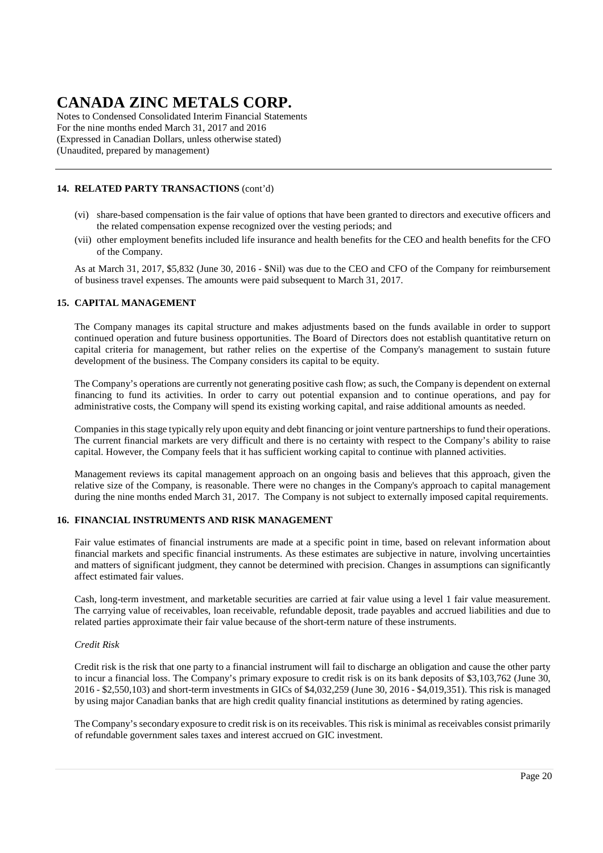Notes to Condensed Consolidated Interim Financial Statements For the nine months ended March 31, 2017 and 2016 (Expressed in Canadian Dollars, unless otherwise stated) (Unaudited, prepared by management)

### **14. RELATED PARTY TRANSACTIONS** (cont'd)

- (vi) share-based compensation is the fair value of options that have been granted to directors and executive officers and the related compensation expense recognized over the vesting periods; and
- (vii) other employment benefits included life insurance and health benefits for the CEO and health benefits for the CFO of the Company.

As at March 31, 2017, \$5,832 (June 30, 2016 - \$Nil) was due to the CEO and CFO of the Company for reimbursement of business travel expenses. The amounts were paid subsequent to March 31, 2017.

#### **15. CAPITAL MANAGEMENT**

The Company manages its capital structure and makes adjustments based on the funds available in order to support continued operation and future business opportunities. The Board of Directors does not establish quantitative return on capital criteria for management, but rather relies on the expertise of the Company's management to sustain future development of the business. The Company considers its capital to be equity.

The Company's operations are currently not generating positive cash flow; as such, the Company is dependent on external financing to fund its activities. In order to carry out potential expansion and to continue operations, and pay for administrative costs, the Company will spend its existing working capital, and raise additional amounts as needed.

Companies in this stage typically rely upon equity and debt financing or joint venture partnerships to fund their operations. The current financial markets are very difficult and there is no certainty with respect to the Company's ability to raise capital. However, the Company feels that it has sufficient working capital to continue with planned activities.

Management reviews its capital management approach on an ongoing basis and believes that this approach, given the relative size of the Company, is reasonable. There were no changes in the Company's approach to capital management during the nine months ended March 31, 2017. The Company is not subject to externally imposed capital requirements.

#### **16. FINANCIAL INSTRUMENTS AND RISK MANAGEMENT**

Fair value estimates of financial instruments are made at a specific point in time, based on relevant information about financial markets and specific financial instruments. As these estimates are subjective in nature, involving uncertainties and matters of significant judgment, they cannot be determined with precision. Changes in assumptions can significantly affect estimated fair values.

Cash, long-term investment, and marketable securities are carried at fair value using a level 1 fair value measurement. The carrying value of receivables, loan receivable, refundable deposit, trade payables and accrued liabilities and due to related parties approximate their fair value because of the short-term nature of these instruments.

#### *Credit Risk*

Credit risk is the risk that one party to a financial instrument will fail to discharge an obligation and cause the other party to incur a financial loss. The Company's primary exposure to credit risk is on its bank deposits of \$3,103,762 (June 30, 2016 - \$2,550,103) and short-term investments in GICs of \$4,032,259 (June 30, 2016 - \$4,019,351). This risk is managed by using major Canadian banks that are high credit quality financial institutions as determined by rating agencies.

The Company's secondary exposure to credit risk is on its receivables. This risk is minimal as receivables consist primarily of refundable government sales taxes and interest accrued on GIC investment.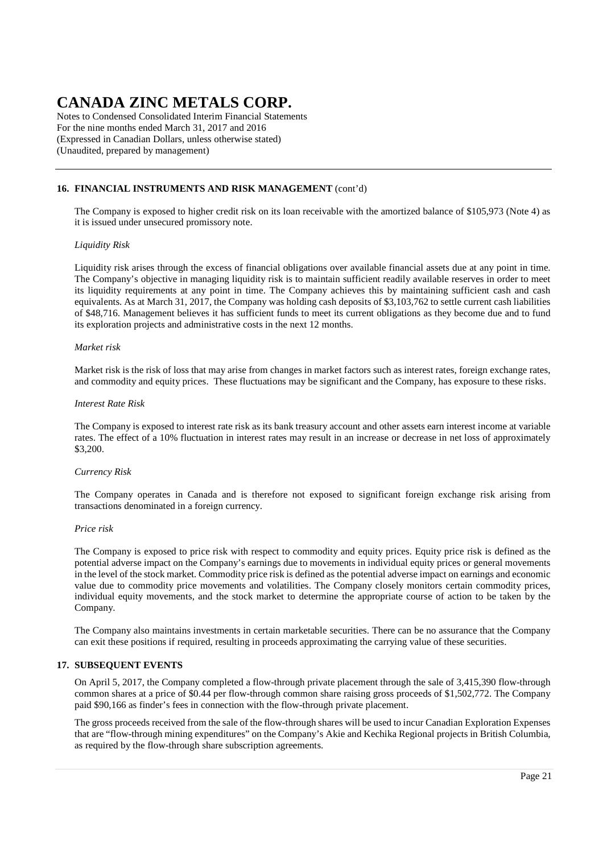Notes to Condensed Consolidated Interim Financial Statements For the nine months ended March 31, 2017 and 2016 (Expressed in Canadian Dollars, unless otherwise stated) (Unaudited, prepared by management)

#### **16. FINANCIAL INSTRUMENTS AND RISK MANAGEMENT** (cont'd)

The Company is exposed to higher credit risk on its loan receivable with the amortized balance of \$105,973 (Note 4) as it is issued under unsecured promissory note.

#### *Liquidity Risk*

Liquidity risk arises through the excess of financial obligations over available financial assets due at any point in time. The Company's objective in managing liquidity risk is to maintain sufficient readily available reserves in order to meet its liquidity requirements at any point in time. The Company achieves this by maintaining sufficient cash and cash equivalents. As at March 31, 2017, the Company was holding cash deposits of \$3,103,762 to settle current cash liabilities of \$48,716. Management believes it has sufficient funds to meet its current obligations as they become due and to fund its exploration projects and administrative costs in the next 12 months.

#### *Market risk*

Market risk is the risk of loss that may arise from changes in market factors such as interest rates, foreign exchange rates, and commodity and equity prices. These fluctuations may be significant and the Company, has exposure to these risks.

#### *Interest Rate Risk*

The Company is exposed to interest rate risk as its bank treasury account and other assets earn interest income at variable rates. The effect of a 10% fluctuation in interest rates may result in an increase or decrease in net loss of approximately \$3,200.

#### *Currency Risk*

The Company operates in Canada and is therefore not exposed to significant foreign exchange risk arising from transactions denominated in a foreign currency.

#### *Price risk*

The Company is exposed to price risk with respect to commodity and equity prices. Equity price risk is defined as the potential adverse impact on the Company's earnings due to movements in individual equity prices or general movements in the level of the stock market. Commodity price risk is defined as the potential adverse impact on earnings and economic value due to commodity price movements and volatilities. The Company closely monitors certain commodity prices, individual equity movements, and the stock market to determine the appropriate course of action to be taken by the Company.

The Company also maintains investments in certain marketable securities. There can be no assurance that the Company can exit these positions if required, resulting in proceeds approximating the carrying value of these securities.

#### **17. SUBSEQUENT EVENTS**

On April 5, 2017, the Company completed a flow-through private placement through the sale of 3,415,390 flow-through common shares at a price of \$0.44 per flow-through common share raising gross proceeds of \$1,502,772. The Company paid \$90,166 as finder's fees in connection with the flow-through private placement.

The gross proceeds received from the sale of the flow-through shares will be used to incur Canadian Exploration Expenses that are "flow-through mining expenditures" on the Company's Akie and Kechika Regional projects in British Columbia, as required by the flow-through share subscription agreements.